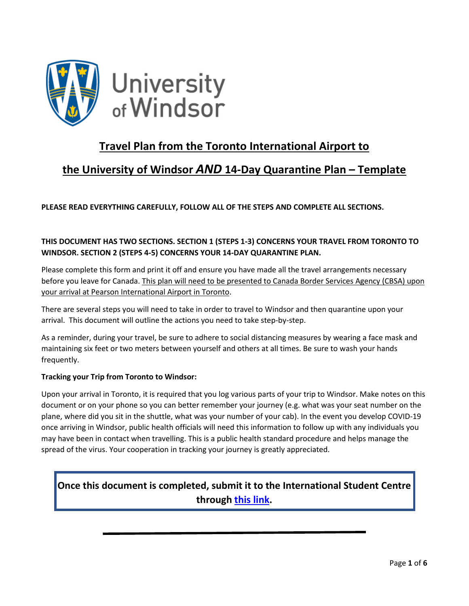

## **Travel Plan from the Toronto International Airport to**

## **the University of Windsor** *AND* **14-Day Quarantine Plan – Template**

**PLEASE READ EVERYTHING CAREFULLY, FOLLOW ALL OF THE STEPS AND COMPLETE ALL SECTIONS.** 

### **THIS DOCUMENT HAS TWO SECTIONS. SECTION 1 (STEPS 1-3) CONCERNS YOUR TRAVEL FROM TORONTO TO WINDSOR. SECTION 2 (STEPS 4-5) CONCERNS YOUR 14-DAY QUARANTINE PLAN.**

Please complete this form and print it off and ensure you have made all the travel arrangements necessary before you leave for Canada. This plan will need to be presented to Canada Border Services Agency (CBSA) upon your arrival at Pearson International Airport in Toronto.

There are several steps you will need to take in order to travel to Windsor and then quarantine upon your arrival. This document will outline the actions you need to take step-by-step.

As a reminder, during your travel, be sure to adhere to social distancing measures by wearing a face mask and maintaining six feet or two meters between yourself and others at all times. Be sure to wash your hands frequently.

#### **Tracking your Trip from Toronto to Windsor:**

Upon your arrival in Toronto, it is required that you log various parts of your trip to Windsor. Make notes on this document or on your phone so you can better remember your journey (e.g. what was your seat number on the plane, where did you sit in the shuttle, what was your number of your cab). In the event you develop COVID-19 once arriving in Windsor, public health officials will need this information to follow up with any individuals you may have been in contact when travelling. This is a public health standard procedure and helps manage the spread of the virus. Your cooperation in tracking your journey is greatly appreciated.

### **Once this document is completed, submit it to the International Student Centre through [this link.](https://uwindsor.ca1.qualtrics.com/jfe/form/SV_eFYzZmkD78AO8g5)**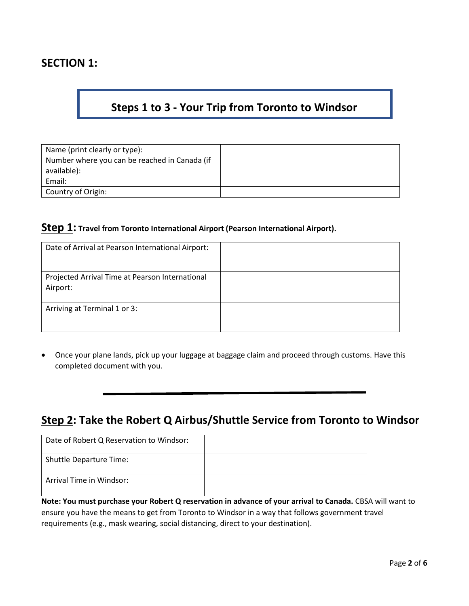### **SECTION 1:**

# **Steps 1 to 3 - Your Trip from Toronto to Windsor**

| Name (print clearly or type):                                |  |
|--------------------------------------------------------------|--|
| Number where you can be reached in Canada (if<br>available): |  |
| Email:                                                       |  |
| Country of Origin:                                           |  |

#### **Step 1: Travel from Toronto International Airport (Pearson International Airport).**

| Date of Arrival at Pearson International Airport:           |  |
|-------------------------------------------------------------|--|
| Projected Arrival Time at Pearson International<br>Airport: |  |
| Arriving at Terminal 1 or 3:                                |  |

• Once your plane lands, pick up your luggage at baggage claim and proceed through customs. Have this completed document with you.

### **Step 2: Take the Robert Q Airbus/Shuttle Service from Toronto to Windsor**

| Date of Robert Q Reservation to Windsor: |  |
|------------------------------------------|--|
| Shuttle Departure Time:                  |  |
| Arrival Time in Windsor:                 |  |

**Note: You must purchase your Robert Q reservation in advance of your arrival to Canada.** CBSA will want to ensure you have the means to get from Toronto to Windsor in a way that follows government travel requirements (e.g., mask wearing, social distancing, direct to your destination).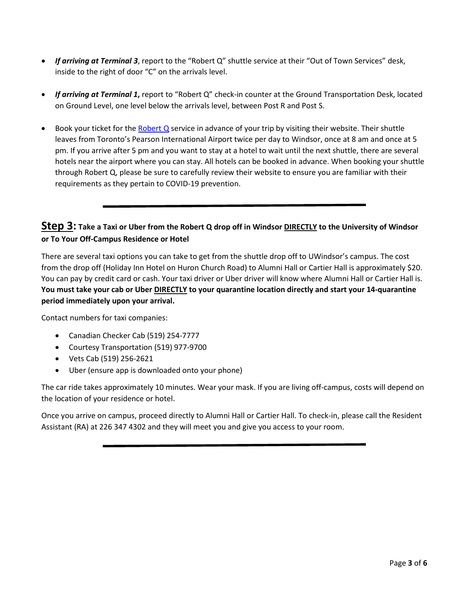- *If arriving at Terminal 3*, report to the "Robert Q" shuttle service at their "Out of Town Services" desk, inside to the right of door "C" on the arrivals level.
- *If arriving at Terminal 1***,** report to "Robert Q" check-in counter at the Ground Transportation Desk, located on Ground Level, one level below the arrivals level, between Post R and Post S.
- Book your ticket for the [Robert Q](https://reservation.robertq.com/airbus/) service in advance of your trip by visiting their website. Their shuttle leaves from Toronto's Pearson International Airport twice per day to Windsor, once at 8 am and once at 5 pm. If you arrive after 5 pm and you want to stay at a hotel to wait until the next shuttle, there are several hotels near the airport where you can stay. All hotels can be booked in advance. When booking your shuttle through Robert Q, please be sure to carefully review their website to ensure you are familiar with their requirements as they pertain to COVID-19 prevention.

### **Step 3: Take a Taxi or Uber from the Robert Q drop off in Windsor DIRECTLY to the University of Windsor or To Your Off-Campus Residence or Hotel**

There are several taxi options you can take to get from the shuttle drop off to UWindsor's campus. The cost from the drop off (Holiday Inn Hotel on Huron Church Road) to Alumni Hall or Cartier Hall is approximately \$20. You can pay by credit card or cash. Your taxi driver or Uber driver will know where Alumni Hall or Cartier Hall is. **You must take your cab or Uber DIRECTLY to your quarantine location directly and start your 14-quarantine period immediately upon your arrival.**

Contact numbers for taxi companies:

- Canadian Checker Cab (519) 254-7777
- Courtesy Transportation (519) 977-9700
- Vets Cab (519) 256-2621
- Uber (ensure app is downloaded onto your phone)

The car ride takes approximately 10 minutes. Wear your mask. If you are living off-campus, costs will depend on the location of your residence or hotel.

Once you arrive on campus, proceed directly to Alumni Hall or Cartier Hall. To check-in, please call the Resident Assistant (RA) at 226 347 4302 and they will meet you and give you access to your room.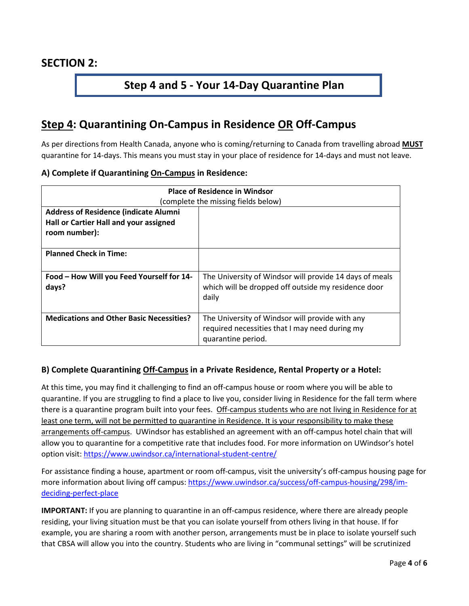### **Step 4 and 5 - Your 14-Day Quarantine Plan**

## **Step 4: Quarantining On-Campus in Residence OR Off-Campus**

As per directions from Health Canada, anyone who is coming/returning to Canada from travelling abroad **MUST** quarantine for 14-days. This means you must stay in your place of residence for 14-days and must not leave.

#### **A) Complete if Quarantining On-Campus in Residence:**

| <b>Place of Residence in Windsor</b>            |                                                         |
|-------------------------------------------------|---------------------------------------------------------|
| (complete the missing fields below)             |                                                         |
| <b>Address of Residence (indicate Alumni</b>    |                                                         |
| Hall or Cartier Hall and your assigned          |                                                         |
| room number):                                   |                                                         |
|                                                 |                                                         |
| <b>Planned Check in Time:</b>                   |                                                         |
|                                                 |                                                         |
| Food - How Will you Feed Yourself for 14-       | The University of Windsor will provide 14 days of meals |
| days?                                           | which will be dropped off outside my residence door     |
|                                                 | daily                                                   |
|                                                 |                                                         |
| <b>Medications and Other Basic Necessities?</b> | The University of Windsor will provide with any         |
|                                                 | required necessities that I may need during my          |
|                                                 | quarantine period.                                      |

#### **B) Complete Quarantining Off-Campus in a Private Residence, Rental Property or a Hotel:**

At this time, you may find it challenging to find an off-campus house or room where you will be able to quarantine. If you are struggling to find a place to live you, consider living in Residence for the fall term where there is a quarantine program built into your fees. Off-campus students who are not living in Residence for at least one term, will not be permitted to quarantine in Residence. It is your responsibility to make these arrangements off-campus. UWindsor has established an agreement with an off-campus hotel chain that will allow you to quarantine for a competitive rate that includes food. For more information on UWindsor's hotel option visit:<https://www.uwindsor.ca/international-student-centre/>

For assistance finding a house, apartment or room off-campus, visit the university's off-campus housing page for more information about living off campus: [https://www.uwindsor.ca/success/off-campus-housing/298/im](https://www.uwindsor.ca/success/off-campus-housing/298/im-deciding-perfect-place)[deciding-perfect-place](https://www.uwindsor.ca/success/off-campus-housing/298/im-deciding-perfect-place)

**IMPORTANT:** If you are planning to quarantine in an off-campus residence, where there are already people residing, your living situation must be that you can isolate yourself from others living in that house. If for example, you are sharing a room with another person, arrangements must be in place to isolate yourself such that CBSA will allow you into the country. Students who are living in "communal settings" will be scrutinized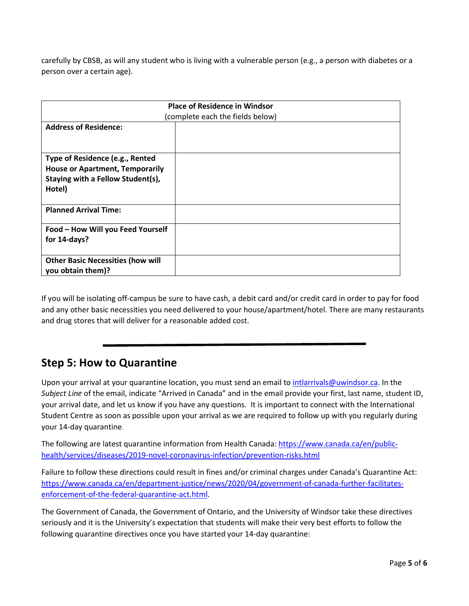carefully by CBSB, as will any student who is living with a vulnerable person (e.g., a person with diabetes or a person over a certain age).

| <b>Place of Residence in Windsor</b>     |  |  |
|------------------------------------------|--|--|
| (complete each the fields below)         |  |  |
| <b>Address of Residence:</b>             |  |  |
|                                          |  |  |
| Type of Residence (e.g., Rented          |  |  |
| <b>House or Apartment, Temporarily</b>   |  |  |
| Staying with a Fellow Student(s),        |  |  |
| Hotel)                                   |  |  |
|                                          |  |  |
| <b>Planned Arrival Time:</b>             |  |  |
|                                          |  |  |
| Food - How Will you Feed Yourself        |  |  |
| for 14-days?                             |  |  |
|                                          |  |  |
| <b>Other Basic Necessities (how will</b> |  |  |
| you obtain them)?                        |  |  |

If you will be isolating off-campus be sure to have cash, a debit card and/or credit card in order to pay for food and any other basic necessities you need delivered to your house/apartment/hotel. There are many restaurants and drug stores that will deliver for a reasonable added cost.

### **Step 5: How to Quarantine**

Upon your arrival at your quarantine location, you must send an email to [intlarrivals@uwindsor.ca.](mailto:intlarrivals@uwindsor.ca) In the *Subject Line* of the email, indicate "Arrived in Canada" and in the email provide your first, last name, student ID, your arrival date, and let us know if you have any questions. It is important to connect with the International Student Centre as soon as possible upon your arrival as we are required to follow up with you regularly during your 14-day quarantine.

The following are latest quarantine information from Health Canada[: https://www.canada.ca/en/public](https://www.canada.ca/en/public-health/services/diseases/2019-novel-coronavirus-infection/prevention-risks.html)[health/services/diseases/2019-novel-coronavirus-infection/prevention-risks.html](https://www.canada.ca/en/public-health/services/diseases/2019-novel-coronavirus-infection/prevention-risks.html)

Failure to follow these directions could result in fines and/or criminal charges under Canada's Quarantine Act: [https://www.canada.ca/en/department-justice/news/2020/04/government-of-canada-further-facilitates](https://www.canada.ca/en/department-justice/news/2020/04/government-of-canada-further-facilitates-enforcement-of-the-federal-quarantine-act.html)[enforcement-of-the-federal-quarantine-act.html.](https://www.canada.ca/en/department-justice/news/2020/04/government-of-canada-further-facilitates-enforcement-of-the-federal-quarantine-act.html)

The Government of Canada, the Government of Ontario, and the University of Windsor take these directives seriously and it is the University's expectation that students will make their very best efforts to follow the following quarantine directives once you have started your 14-day quarantine: